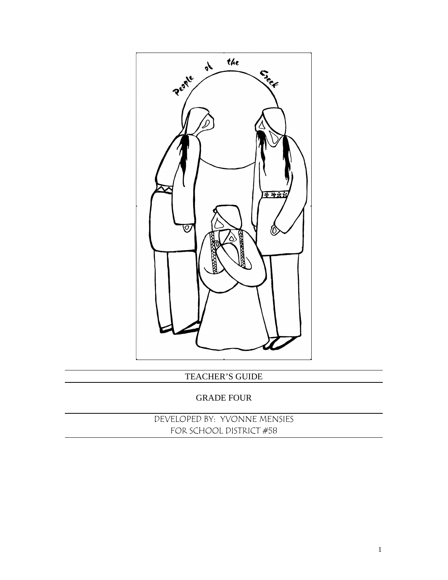

TEACHER'S GUIDE

#### GRADE FOUR

DEVELOPED BY: YVONNE MENSIES FOR SCHOOL DISTRICT #58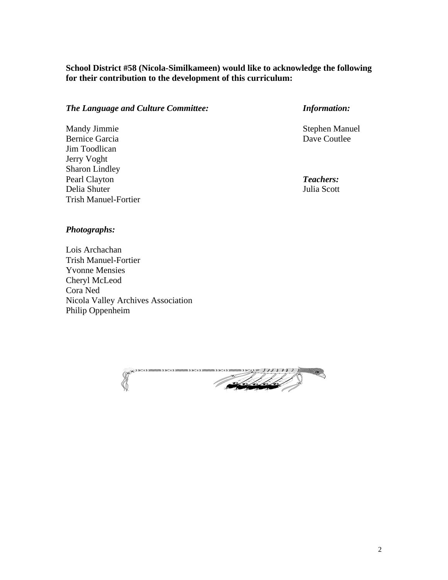#### **School District #58 (Nicola-Similkameen) would like to acknowledge the following for their contribution to the development of this curriculum:**

#### *The Language and Culture Committee: Information:*

Mandy Jimmie Stephen Manuel Bernice Garcia Dave Coutlee Jim Toodlican Jerry Voght Sharon Lindley Pearl Clayton **Teachers: Teachers:** Delia Shuter Julia Scott Trish Manuel-Fortier

#### *Photographs:*

Lois Archachan Trish Manuel-Fortier Yvonne Mensies Cheryl McLeod Cora Ned Nicola Valley Archives Association Philip Oppenheim

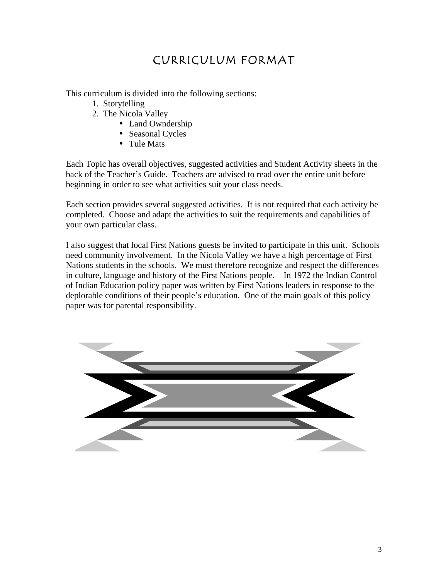## CURRICULUM FORMAT

This curriculum is divided into the following sections:

- 1. Storytelling
- 2. The Nicola Valley
	- Land Owndership
	- Seasonal Cycles
	- Tule Mats

Each Topic has overall objectives, suggested activities and Student Activity sheets in the back of the Teacher's Guide. Teachers are advised to read over the entire unit before beginning in order to see what activities suit your class needs.

Each section provides several suggested activities. It is not required that each activity be completed. Choose and adapt the activities to suit the requirements and capabilities of your own particular class.

I also suggest that local First Nations guests be invited to participate in this unit. Schools need community involvement. In the Nicola Valley we have a high percentage of First Nations students in the schools. We must therefore recognize and respect the differences in culture, language and history of the First Nations people. In 1972 the Indian Control of Indian Education policy paper was written by First Nations leaders in response to the deplorable conditions of their people's education. One of the main goals of this policy paper was for parental responsibility.

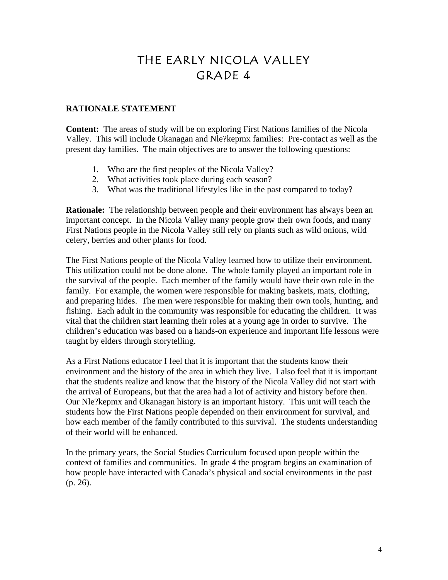## THE EARLY NICOLA VALLEY GRADE 4

#### **RATIONALE STATEMENT**

**Content:** The areas of study will be on exploring First Nations families of the Nicola Valley. This will include Okanagan and Nle?kepmx families: Pre-contact as well as the present day families. The main objectives are to answer the following questions:

- 1. Who are the first peoples of the Nicola Valley?
- 2. What activities took place during each season?
- 3. What was the traditional lifestyles like in the past compared to today?

**Rationale:** The relationship between people and their environment has always been an important concept. In the Nicola Valley many people grow their own foods, and many First Nations people in the Nicola Valley still rely on plants such as wild onions, wild celery, berries and other plants for food.

The First Nations people of the Nicola Valley learned how to utilize their environment. This utilization could not be done alone. The whole family played an important role in the survival of the people. Each member of the family would have their own role in the family. For example, the women were responsible for making baskets, mats, clothing, and preparing hides. The men were responsible for making their own tools, hunting, and fishing. Each adult in the community was responsible for educating the children. It was vital that the children start learning their roles at a young age in order to survive. The children's education was based on a hands-on experience and important life lessons were taught by elders through storytelling.

As a First Nations educator I feel that it is important that the students know their environment and the history of the area in which they live. I also feel that it is important that the students realize and know that the history of the Nicola Valley did not start with the arrival of Europeans, but that the area had a lot of activity and history before then. Our Nle?kepmx and Okanagan history is an important history. This unit will teach the students how the First Nations people depended on their environment for survival, and how each member of the family contributed to this survival. The students understanding of their world will be enhanced.

In the primary years, the Social Studies Curriculum focused upon people within the context of families and communities. In grade 4 the program begins an examination of how people have interacted with Canada's physical and social environments in the past (p. 26).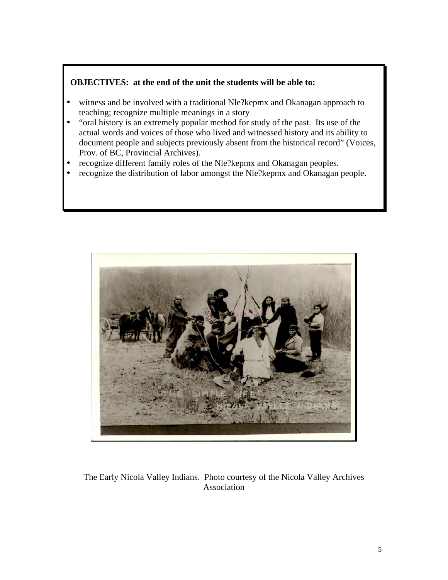#### **OBJECTIVES: at the end of the unit the students will be able to:**

- witness and be involved with a traditional Nle?kepmx and Okanagan approach to teaching; recognize multiple meanings in a story
- "oral history is an extremely popular method for study of the past. Its use of the actual words and voices of those who lived and witnessed history and its ability to document people and subjects previously absent from the historical record" (Voices, Prov. of BC, Provincial Archives).
- recognize different family roles of the Nle?kepmx and Okanagan peoples.
- recognize the distribution of labor amongst the Nle?kepmx and Okanagan people.



The Early Nicola Valley Indians. Photo courtesy of the Nicola Valley Archives Association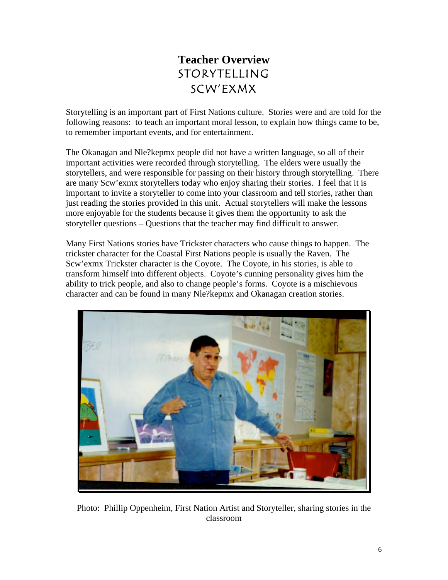## **Teacher Overview** STORYTELLING SCW'EXMX

Storytelling is an important part of First Nations culture. Stories were and are told for the following reasons: to teach an important moral lesson, to explain how things came to be, to remember important events, and for entertainment.

The Okanagan and Nle?kepmx people did not have a written language, so all of their important activities were recorded through storytelling. The elders were usually the storytellers, and were responsible for passing on their history through storytelling. There are many Scw'exmx storytellers today who enjoy sharing their stories. I feel that it is important to invite a storyteller to come into your classroom and tell stories, rather than just reading the stories provided in this unit. Actual storytellers will make the lessons more enjoyable for the students because it gives them the opportunity to ask the storyteller questions – Questions that the teacher may find difficult to answer.

Many First Nations stories have Trickster characters who cause things to happen. The trickster character for the Coastal First Nations people is usually the Raven. The Scw'exmx Trickster character is the Coyote. The Coyote, in his stories, is able to transform himself into different objects. Coyote's cunning personality gives him the ability to trick people, and also to change people's forms. Coyote is a mischievous character and can be found in many Nle?kepmx and Okanagan creation stories.



Photo: Phillip Oppenheim, First Nation Artist and Storyteller, sharing stories in the classroom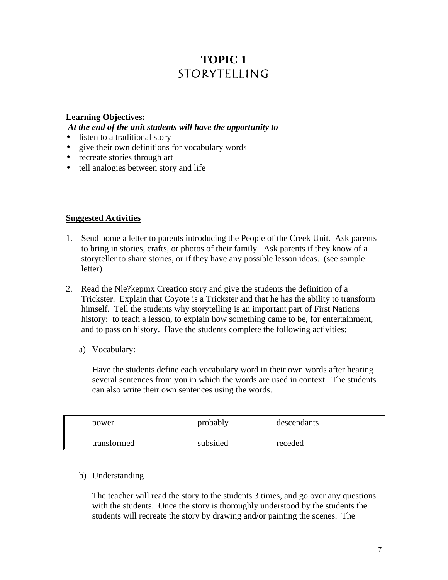## **TOPIC 1** STORYTELLING

#### **Learning Objectives:**  *At the end of the unit students will have the opportunity to*

- listen to a traditional story
- give their own definitions for vocabulary words
- recreate stories through art
- tell analogies between story and life

#### **Suggested Activities**

- 1. Send home a letter to parents introducing the People of the Creek Unit. Ask parents to bring in stories, crafts, or photos of their family. Ask parents if they know of a storyteller to share stories, or if they have any possible lesson ideas. (see sample letter)
- 2. Read the Nle?kepmx Creation story and give the students the definition of a Trickster. Explain that Coyote is a Trickster and that he has the ability to transform himself. Tell the students why storytelling is an important part of First Nations history: to teach a lesson, to explain how something came to be, for entertainment, and to pass on history. Have the students complete the following activities:
	- a) Vocabulary:

Have the students define each vocabulary word in their own words after hearing several sentences from you in which the words are used in context. The students can also write their own sentences using the words.

| power       | probably | descendants |  |
|-------------|----------|-------------|--|
| transformed | subsided | receded     |  |

#### b) Understanding

The teacher will read the story to the students 3 times, and go over any questions with the students. Once the story is thoroughly understood by the students the students will recreate the story by drawing and/or painting the scenes. The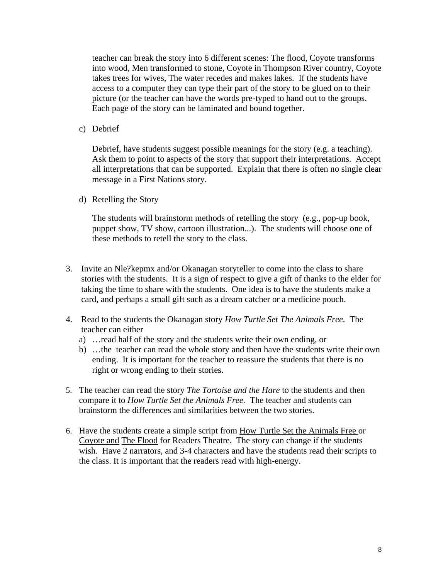teacher can break the story into 6 different scenes: The flood, Coyote transforms into wood, Men transformed to stone, Coyote in Thompson River country, Coyote takes trees for wives, The water recedes and makes lakes. If the students have access to a computer they can type their part of the story to be glued on to their picture (or the teacher can have the words pre-typed to hand out to the groups. Each page of the story can be laminated and bound together.

c) Debrief

Debrief, have students suggest possible meanings for the story (e.g. a teaching). Ask them to point to aspects of the story that support their interpretations. Accept all interpretations that can be supported. Explain that there is often no single clear message in a First Nations story.

d) Retelling the Story

The students will brainstorm methods of retelling the story (e.g., pop-up book, puppet show, TV show, cartoon illustration...). The students will choose one of these methods to retell the story to the class.

- 3. Invite an Nle?kepmx and/or Okanagan storyteller to come into the class to share stories with the students. It is a sign of respect to give a gift of thanks to the elder for taking the time to share with the students. One idea is to have the students make a card, and perhaps a small gift such as a dream catcher or a medicine pouch.
- 4. Read to the students the Okanagan story *How Turtle Set The Animals Free.* The teacher can either
	- a) …read half of the story and the students write their own ending, or
	- b) …the teacher can read the whole story and then have the students write their own ending. It is important for the teacher to reassure the students that there is no right or wrong ending to their stories.
- 5. The teacher can read the story *The Tortoise and the Hare* to the students and then compare it to *How Turtle Set the Animals Free.* The teacher and students can brainstorm the differences and similarities between the two stories.
- 6. Have the students create a simple script from How Turtle Set the Animals Free or Coyote and The Flood for Readers Theatre. The story can change if the students wish. Have 2 narrators, and 3-4 characters and have the students read their scripts to the class. It is important that the readers read with high-energy.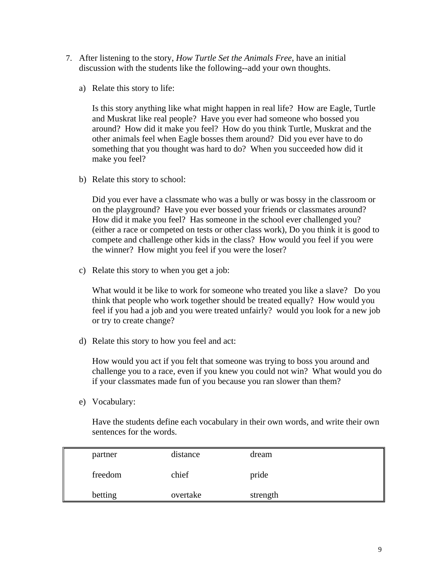- 7. After listening to the story, *How Turtle Set the Animals Free*, have an initial discussion with the students like the following--add your own thoughts.
	- a) Relate this story to life:

Is this story anything like what might happen in real life? How are Eagle, Turtle and Muskrat like real people? Have you ever had someone who bossed you around? How did it make you feel? How do you think Turtle, Muskrat and the other animals feel when Eagle bosses them around? Did you ever have to do something that you thought was hard to do? When you succeeded how did it make you feel?

b) Relate this story to school:

Did you ever have a classmate who was a bully or was bossy in the classroom or on the playground? Have you ever bossed your friends or classmates around? How did it make you feel? Has someone in the school ever challenged you? (either a race or competed on tests or other class work), Do you think it is good to compete and challenge other kids in the class? How would you feel if you were the winner? How might you feel if you were the loser?

c) Relate this story to when you get a job:

What would it be like to work for someone who treated you like a slave? Do you think that people who work together should be treated equally? How would you feel if you had a job and you were treated unfairly? would you look for a new job or try to create change?

d) Relate this story to how you feel and act:

How would you act if you felt that someone was trying to boss you around and challenge you to a race, even if you knew you could not win? What would you do if your classmates made fun of you because you ran slower than them?

e) Vocabulary:

Have the students define each vocabulary in their own words, and write their own sentences for the words.

| partner | distance | dream    |  |
|---------|----------|----------|--|
| freedom | chief    | pride    |  |
| betting | overtake | strength |  |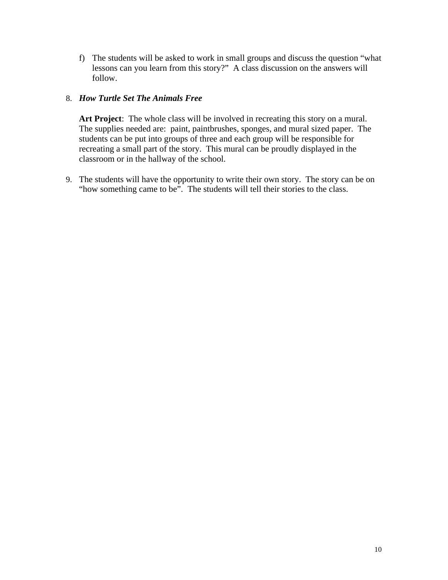f) The students will be asked to work in small groups and discuss the question "what lessons can you learn from this story?" A class discussion on the answers will follow.

#### 8. *How Turtle Set The Animals Free*

**Art Project**: The whole class will be involved in recreating this story on a mural. The supplies needed are: paint, paintbrushes, sponges, and mural sized paper. The students can be put into groups of three and each group will be responsible for recreating a small part of the story. This mural can be proudly displayed in the classroom or in the hallway of the school.

9. The students will have the opportunity to write their own story. The story can be on "how something came to be". The students will tell their stories to the class.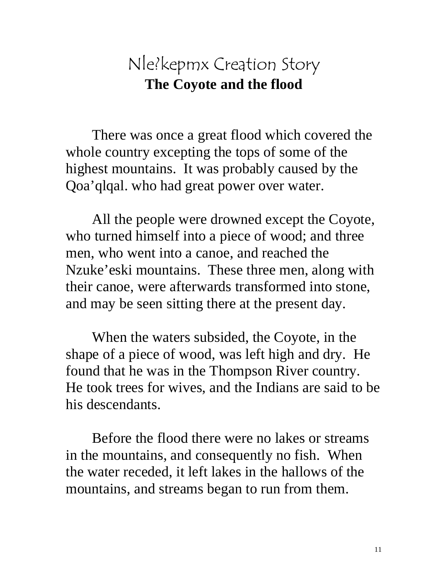## Nle?kepmx Creation Story **The Coyote and the flood**

There was once a great flood which covered the whole country excepting the tops of some of the highest mountains. It was probably caused by the Qoa'qlqal. who had great power over water.

All the people were drowned except the Coyote, who turned himself into a piece of wood; and three men, who went into a canoe, and reached the Nzuke'eski mountains. These three men, along with their canoe, were afterwards transformed into stone, and may be seen sitting there at the present day.

When the waters subsided, the Coyote, in the shape of a piece of wood, was left high and dry. He found that he was in the Thompson River country. He took trees for wives, and the Indians are said to be his descendants.

Before the flood there were no lakes or streams in the mountains, and consequently no fish. When the water receded, it left lakes in the hallows of the mountains, and streams began to run from them.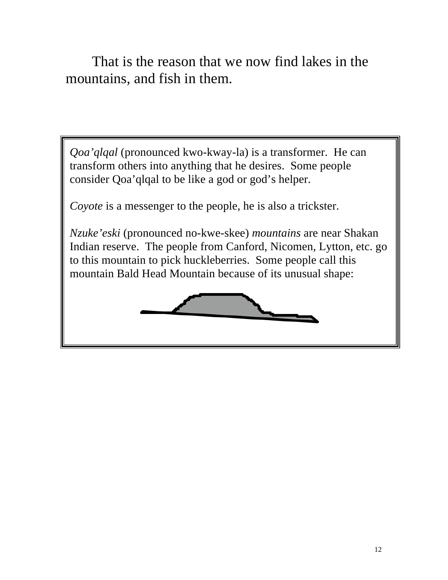That is the reason that we now find lakes in the mountains, and fish in them.

*Qoa'qlqal* (pronounced kwo-kway-la) is a transformer. He can transform others into anything that he desires. Some people consider Qoa'qlqal to be like a god or god's helper.

*Coyote* is a messenger to the people, he is also a trickster.

*Nzuke'eski* (pronounced no-kwe-skee) *mountains* are near Shakan Indian reserve. The people from Canford, Nicomen, Lytton, etc. go to this mountain to pick huckleberries. Some people call this mountain Bald Head Mountain because of its unusual shape:

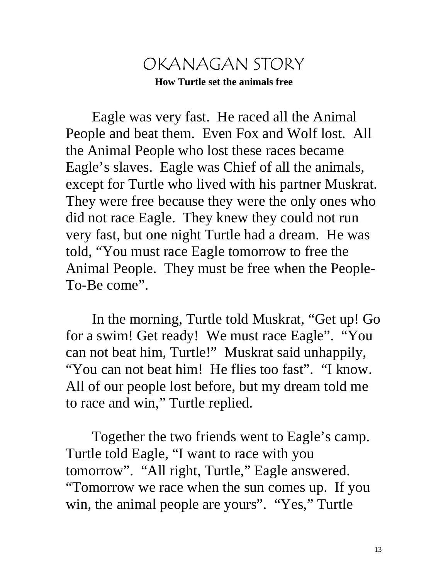## OKANAGAN STORY **How Turtle set the animals free**

Eagle was very fast. He raced all the Animal People and beat them. Even Fox and Wolf lost. All the Animal People who lost these races became Eagle's slaves. Eagle was Chief of all the animals, except for Turtle who lived with his partner Muskrat. They were free because they were the only ones who did not race Eagle. They knew they could not run very fast, but one night Turtle had a dream. He was told, "You must race Eagle tomorrow to free the Animal People. They must be free when the People-To-Be come".

In the morning, Turtle told Muskrat, "Get up! Go for a swim! Get ready! We must race Eagle". "You can not beat him, Turtle!" Muskrat said unhappily, "You can not beat him! He flies too fast". "I know. All of our people lost before, but my dream told me to race and win," Turtle replied.

Together the two friends went to Eagle's camp. Turtle told Eagle, "I want to race with you tomorrow". "All right, Turtle," Eagle answered. "Tomorrow we race when the sun comes up. If you win, the animal people are yours". "Yes," Turtle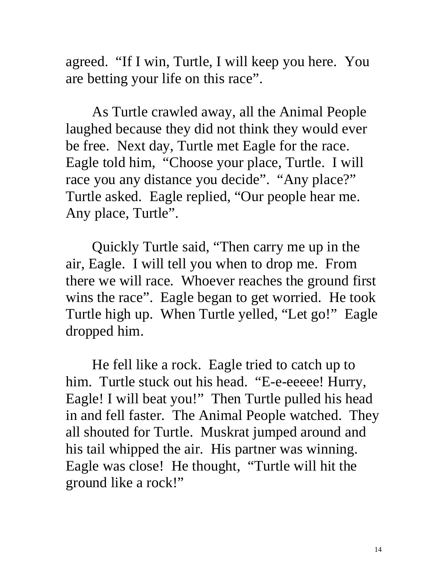agreed. "If I win, Turtle, I will keep you here. You are betting your life on this race".

As Turtle crawled away, all the Animal People laughed because they did not think they would ever be free. Next day, Turtle met Eagle for the race. Eagle told him, "Choose your place, Turtle. I will race you any distance you decide". "Any place?" Turtle asked. Eagle replied, "Our people hear me. Any place, Turtle".

Quickly Turtle said, "Then carry me up in the air, Eagle. I will tell you when to drop me. From there we will race. Whoever reaches the ground first wins the race". Eagle began to get worried. He took Turtle high up. When Turtle yelled, "Let go!" Eagle dropped him.

He fell like a rock. Eagle tried to catch up to him. Turtle stuck out his head. "E-e-eeeee! Hurry, Eagle! I will beat you!" Then Turtle pulled his head in and fell faster. The Animal People watched. They all shouted for Turtle. Muskrat jumped around and his tail whipped the air. His partner was winning. Eagle was close! He thought, "Turtle will hit the ground like a rock!"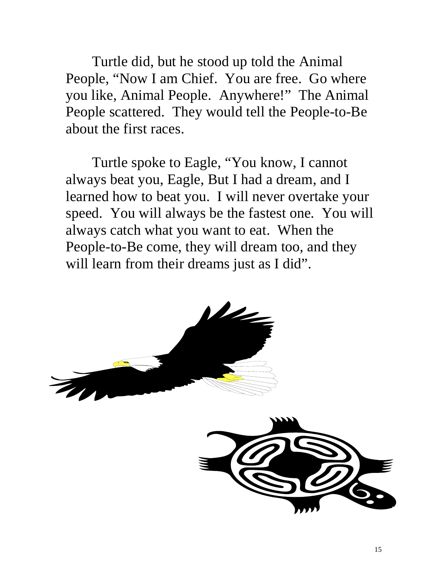Turtle did, but he stood up told the Animal People, "Now I am Chief. You are free. Go where you like, Animal People. Anywhere!" The Animal People scattered. They would tell the People-to-Be about the first races.

Turtle spoke to Eagle, "You know, I cannot always beat you, Eagle, But I had a dream, and I learned how to beat you. I will never overtake your speed. You will always be the fastest one. You will always catch what you want to eat. When the People-to-Be come, they will dream too, and they will learn from their dreams just as I did".

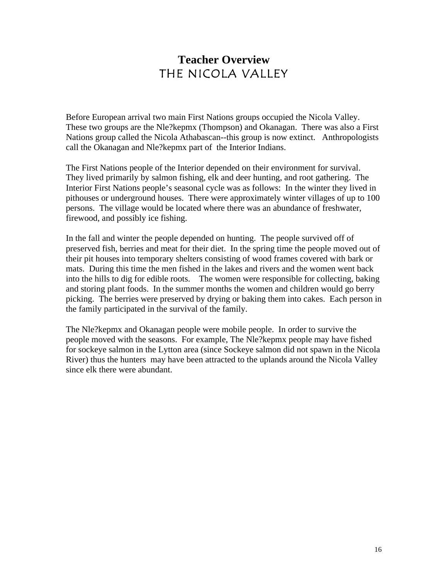## **Teacher Overview** THE NICOLA VALLEY

Before European arrival two main First Nations groups occupied the Nicola Valley. These two groups are the Nle?kepmx (Thompson) and Okanagan. There was also a First Nations group called the Nicola Athabascan--this group is now extinct. Anthropologists call the Okanagan and Nle?kepmx part of the Interior Indians.

The First Nations people of the Interior depended on their environment for survival. They lived primarily by salmon fishing, elk and deer hunting, and root gathering. The Interior First Nations people's seasonal cycle was as follows: In the winter they lived in pithouses or underground houses. There were approximately winter villages of up to 100 persons. The village would be located where there was an abundance of freshwater, firewood, and possibly ice fishing.

In the fall and winter the people depended on hunting. The people survived off of preserved fish, berries and meat for their diet. In the spring time the people moved out of their pit houses into temporary shelters consisting of wood frames covered with bark or mats. During this time the men fished in the lakes and rivers and the women went back into the hills to dig for edible roots. The women were responsible for collecting, baking and storing plant foods. In the summer months the women and children would go berry picking. The berries were preserved by drying or baking them into cakes. Each person in the family participated in the survival of the family.

The Nle?kepmx and Okanagan people were mobile people. In order to survive the people moved with the seasons. For example, The Nle?kepmx people may have fished for sockeye salmon in the Lytton area (since Sockeye salmon did not spawn in the Nicola River) thus the hunters may have been attracted to the uplands around the Nicola Valley since elk there were abundant.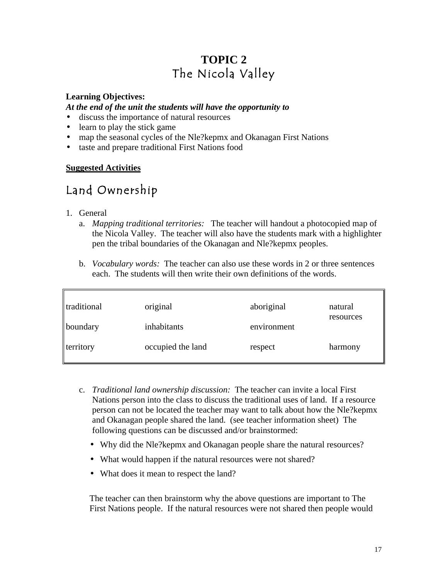## **TOPIC 2** The Nicola Valley

#### **Learning Objectives:**

#### *At the end of the unit the students will have the opportunity to*

- discuss the importance of natural resources
- learn to play the stick game
- map the seasonal cycles of the Nle?kepmx and Okanagan First Nations
- taste and prepare traditional First Nations food

#### **Suggested Activities**

## Land Ownership

- 1. General
	- a. *Mapping traditional territories:* The teacher will handout a photocopied map of the Nicola Valley. The teacher will also have the students mark with a highlighter pen the tribal boundaries of the Okanagan and Nle?kepmx peoples.
	- b. *Vocabulary words:* The teacher can also use these words in 2 or three sentences each. The students will then write their own definitions of the words.

| traditional | original          | aboriginal  | natural   |  |
|-------------|-------------------|-------------|-----------|--|
| boundary    | inhabitants       | environment | resources |  |
| territory   | occupied the land | respect     | harmony   |  |

- c. *Traditional land ownership discussion:* The teacher can invite a local First Nations person into the class to discuss the traditional uses of land. If a resource person can not be located the teacher may want to talk about how the Nle?kepmx and Okanagan people shared the land. (see teacher information sheet) The following questions can be discussed and/or brainstormed:
	- Why did the Nle?kepmx and Okanagan people share the natural resources?
	- What would happen if the natural resources were not shared?
	- What does it mean to respect the land?

The teacher can then brainstorm why the above questions are important to The First Nations people. If the natural resources were not shared then people would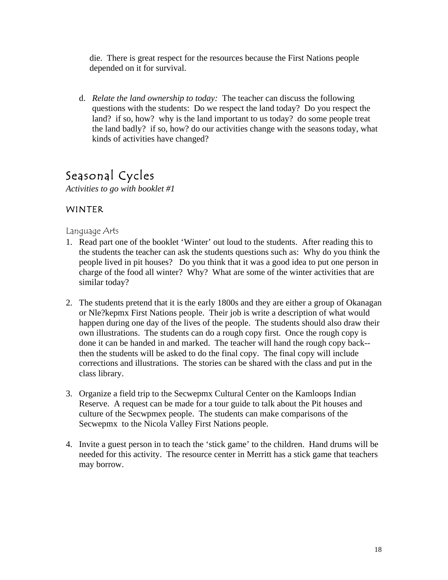die. There is great respect for the resources because the First Nations people depended on it for survival.

d. *Relate the land ownership to today:* The teacher can discuss the following questions with the students: Do we respect the land today? Do you respect the land? if so, how? why is the land important to us today? do some people treat the land badly? if so, how? do our activities change with the seasons today, what kinds of activities have changed?

## Seasonal Cycles

*Activities to go with booklet #1*

#### WINTER

#### Language Arts

- 1. Read part one of the booklet 'Winter' out loud to the students. After reading this to the students the teacher can ask the students questions such as: Why do you think the people lived in pit houses? Do you think that it was a good idea to put one person in charge of the food all winter? Why? What are some of the winter activities that are similar today?
- 2. The students pretend that it is the early 1800s and they are either a group of Okanagan or Nle?kepmx First Nations people. Their job is write a description of what would happen during one day of the lives of the people. The students should also draw their own illustrations. The students can do a rough copy first. Once the rough copy is done it can be handed in and marked. The teacher will hand the rough copy back- then the students will be asked to do the final copy. The final copy will include corrections and illustrations. The stories can be shared with the class and put in the class library.
- 3. Organize a field trip to the Secwepmx Cultural Center on the Kamloops Indian Reserve. A request can be made for a tour guide to talk about the Pit houses and culture of the Secwpmex people. The students can make comparisons of the Secwepmx to the Nicola Valley First Nations people.
- 4. Invite a guest person in to teach the 'stick game' to the children. Hand drums will be needed for this activity. The resource center in Merritt has a stick game that teachers may borrow.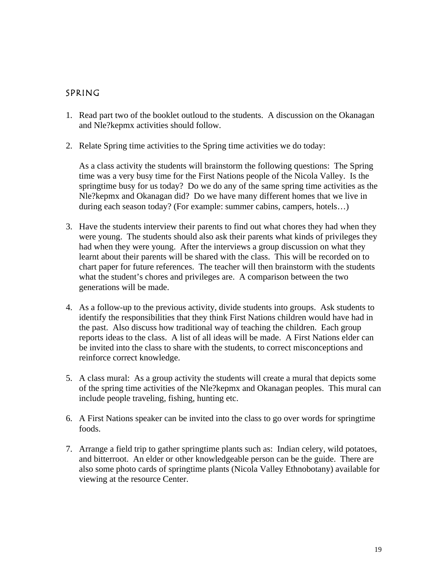#### SPRING

- 1. Read part two of the booklet outloud to the students. A discussion on the Okanagan and Nle?kepmx activities should follow.
- 2. Relate Spring time activities to the Spring time activities we do today:

As a class activity the students will brainstorm the following questions: The Spring time was a very busy time for the First Nations people of the Nicola Valley. Is the springtime busy for us today? Do we do any of the same spring time activities as the Nle?kepmx and Okanagan did? Do we have many different homes that we live in during each season today? (For example: summer cabins, campers, hotels…)

- 3. Have the students interview their parents to find out what chores they had when they were young. The students should also ask their parents what kinds of privileges they had when they were young. After the interviews a group discussion on what they learnt about their parents will be shared with the class. This will be recorded on to chart paper for future references. The teacher will then brainstorm with the students what the student's chores and privileges are. A comparison between the two generations will be made.
- 4. As a follow-up to the previous activity, divide students into groups. Ask students to identify the responsibilities that they think First Nations children would have had in the past. Also discuss how traditional way of teaching the children. Each group reports ideas to the class. A list of all ideas will be made. A First Nations elder can be invited into the class to share with the students, to correct misconceptions and reinforce correct knowledge.
- 5. A class mural: As a group activity the students will create a mural that depicts some of the spring time activities of the Nle?kepmx and Okanagan peoples. This mural can include people traveling, fishing, hunting etc.
- 6. A First Nations speaker can be invited into the class to go over words for springtime foods.
- 7. Arrange a field trip to gather springtime plants such as: Indian celery, wild potatoes, and bitterroot. An elder or other knowledgeable person can be the guide. There are also some photo cards of springtime plants (Nicola Valley Ethnobotany) available for viewing at the resource Center.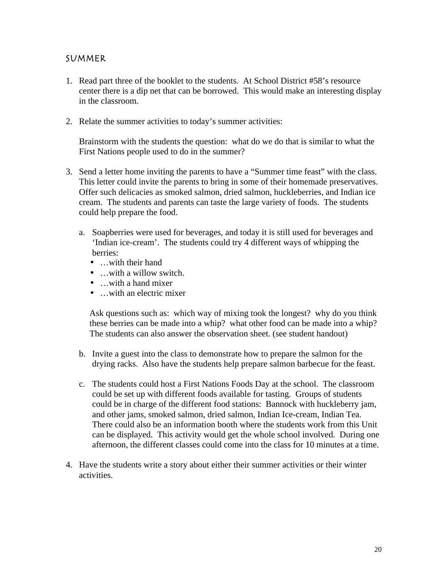#### SUMMER

- 1. Read part three of the booklet to the students. At School District #58's resource center there is a dip net that can be borrowed. This would make an interesting display in the classroom.
- 2. Relate the summer activities to today's summer activities:

Brainstorm with the students the question: what do we do that is similar to what the First Nations people used to do in the summer?

- 3. Send a letter home inviting the parents to have a "Summer time feast" with the class. This letter could invite the parents to bring in some of their homemade preservatives. Offer such delicacies as smoked salmon, dried salmon, huckleberries, and Indian ice cream. The students and parents can taste the large variety of foods. The students could help prepare the food.
	- a. Soapberries were used for beverages, and today it is still used for beverages and 'Indian ice-cream'. The students could try 4 different ways of whipping the berries:
		- …with their hand
		- …with a willow switch.
		- …with a hand mixer
		- …with an electric mixer

Ask questions such as: which way of mixing took the longest? why do you think these berries can be made into a whip? what other food can be made into a whip? The students can also answer the observation sheet. (see student handout)

- b. Invite a guest into the class to demonstrate how to prepare the salmon for the drying racks. Also have the students help prepare salmon barbecue for the feast.
- c. The students could host a First Nations Foods Day at the school. The classroom could be set up with different foods available for tasting. Groups of students could be in charge of the different food stations: Bannock with huckleberry jam, and other jams, smoked salmon, dried salmon, Indian Ice-cream, Indian Tea. There could also be an information booth where the students work from this Unit can be displayed. This activity would get the whole school involved. During one afternoon, the different classes could come into the class for 10 minutes at a time.
- 4. Have the students write a story about either their summer activities or their winter activities.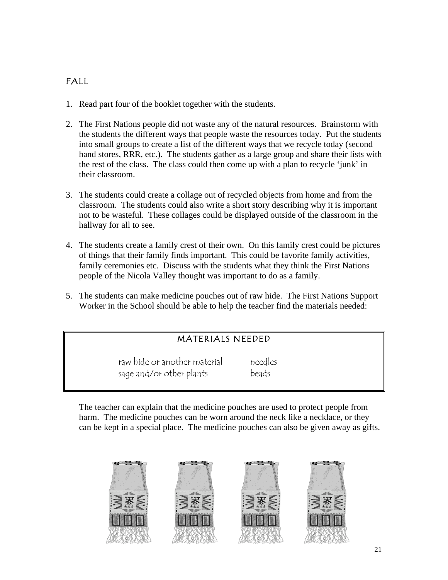### FALL

- 1. Read part four of the booklet together with the students.
- 2. The First Nations people did not waste any of the natural resources. Brainstorm with the students the different ways that people waste the resources today. Put the students into small groups to create a list of the different ways that we recycle today (second hand stores, RRR, etc.). The students gather as a large group and share their lists with the rest of the class. The class could then come up with a plan to recycle 'junk' in their classroom.
- 3. The students could create a collage out of recycled objects from home and from the classroom. The students could also write a short story describing why it is important not to be wasteful. These collages could be displayed outside of the classroom in the hallway for all to see.
- 4. The students create a family crest of their own. On this family crest could be pictures of things that their family finds important. This could be favorite family activities, family ceremonies etc. Discuss with the students what they think the First Nations people of the Nicola Valley thought was important to do as a family.
- 5. The students can make medicine pouches out of raw hide. The First Nations Support Worker in the School should be able to help the teacher find the materials needed:

#### MATERIALS NEEDED

raw hide or another material needles sage and/or other plants beads

The teacher can explain that the medicine pouches are used to protect people from harm. The medicine pouches can be worn around the neck like a necklace, or they can be kept in a special place. The medicine pouches can also be given away as gifts.

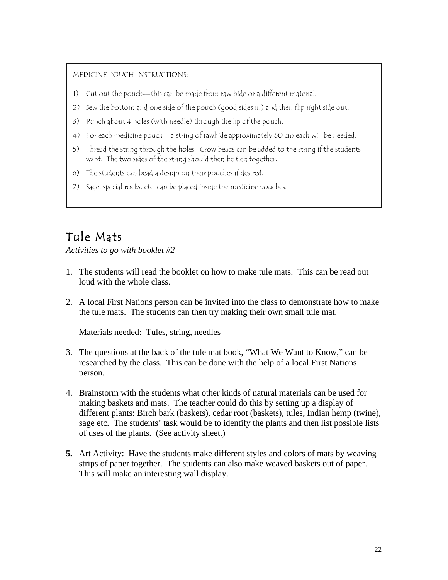#### MEDICINE POUCH INSTRUCTIONS:

- 1) Cut out the pouch—this can be made from raw hide or a different material.
- 2) Sew the bottom and one side of the pouch (good sides in) and then flip right side out.
- 3) Punch about 4 holes (with needle) through the lip of the pouch.
- 4) For each medicine pouch—a string of rawhide approximately 60 cm each will be needed.
- 5) Thread the string through the holes. Crow beads can be added to the string if the students want. The two sides of the string should then be tied together.
- 6) The students can bead a design on their pouches if desired.
- 7) Sage, special rocks, etc. can be placed inside the medicine pouches.

## Tule Mats

*Activities to go with booklet #2*

- 1. The students will read the booklet on how to make tule mats. This can be read out loud with the whole class.
- 2. A local First Nations person can be invited into the class to demonstrate how to make the tule mats. The students can then try making their own small tule mat.

Materials needed: Tules, string, needles

- 3. The questions at the back of the tule mat book, "What We Want to Know," can be researched by the class. This can be done with the help of a local First Nations person.
- 4. Brainstorm with the students what other kinds of natural materials can be used for making baskets and mats. The teacher could do this by setting up a display of different plants: Birch bark (baskets), cedar root (baskets), tules, Indian hemp (twine), sage etc. The students' task would be to identify the plants and then list possible lists of uses of the plants. (See activity sheet.)
- **5.** Art Activity: Have the students make different styles and colors of mats by weaving strips of paper together. The students can also make weaved baskets out of paper. This will make an interesting wall display.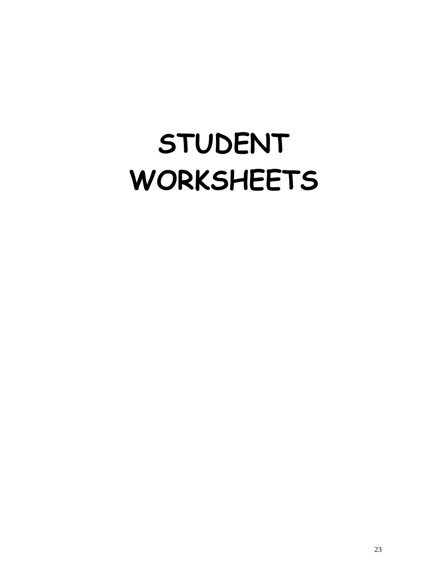# **STUDENT WORKSHEETS**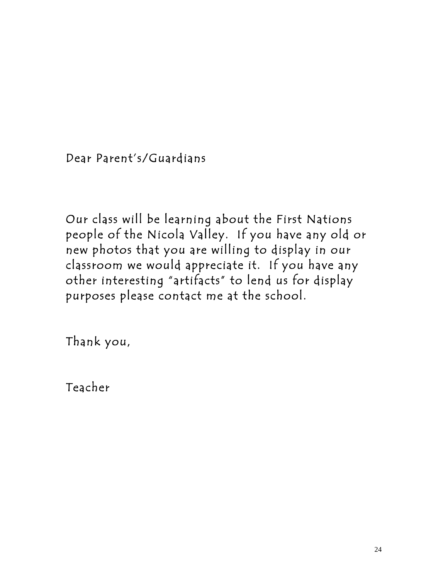Dear Parent's/Guardians

Our class will be learning about the First Nations people of the Nicola Valley. If you have any old or new photos that you are willing to display in our classroom we would appreciate it. If you have any other interesting "artifacts" to lend us for display purposes please contact me at the school.

Thank you,

Teacher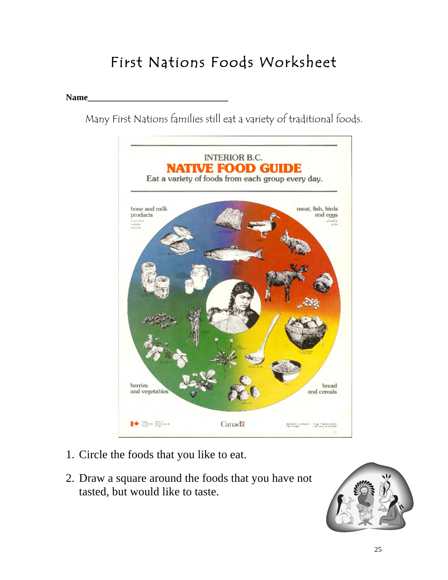## First Nations Foods Worksheet

#### **Name\_\_\_\_\_\_\_\_\_\_\_\_\_\_\_\_\_\_\_\_\_\_\_\_\_\_\_\_\_\_\_\_**

Many First Nations families still eat a variety of traditional foods.



- 1. Circle the foods that you like to eat.
- 2. Draw a square around the foods that you have not tasted, but would like to taste.